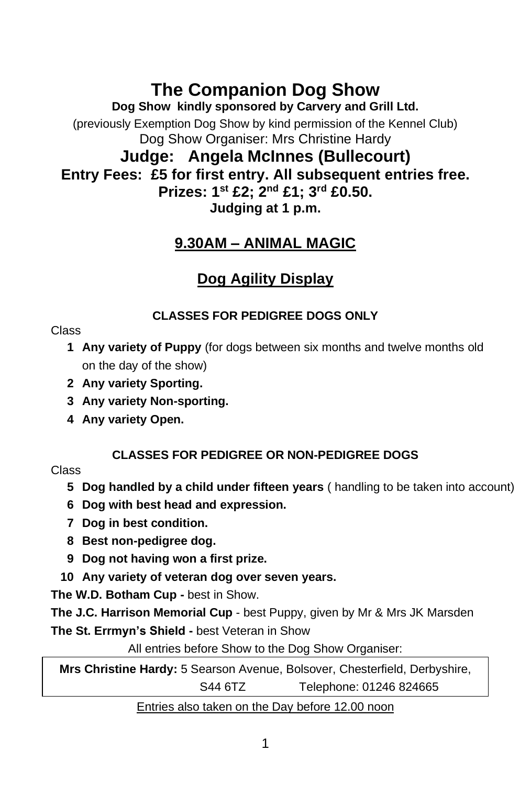# **The Companion Dog Show**

**Dog Show kindly sponsored by Carvery and Grill Ltd.**

(previously Exemption Dog Show by kind permission of the Kennel Club) Dog Show Organiser: Mrs Christine Hardy

### **Judge: Angela McInnes (Bullecourt) Entry Fees: £5 for first entry. All subsequent entries free. Prizes: 1st £2; 2nd £1; 3rd £0.50. Judging at 1 p.m.**

## **9.30AM – ANIMAL MAGIC**

## **Dog Agility Display**

#### **CLASSES FOR PEDIGREE DOGS ONLY**

#### Class

- **1 Any variety of Puppy** (for dogs between six months and twelve months old on the day of the show)
- **2 Any variety Sporting.**
- **3 Any variety Non-sporting.**
- **4 Any variety Open.**

### **CLASSES FOR PEDIGREE OR NON-PEDIGREE DOGS**

#### Class

- **5 Dog handled by a child under fifteen years** ( handling to be taken into account)
- **6 Dog with best head and expression.**
- **7 Dog in best condition.**
- **8 Best non-pedigree dog.**
- **9 Dog not having won a first prize.**
- **10 Any variety of veteran dog over seven years.**

**The W.D. Botham Cup -** best in Show.

**The J.C. Harrison Memorial Cup** - best Puppy, given by Mr & Mrs JK Marsden

**The St. Errmyn's Shield -** best Veteran in Show

All entries before Show to the Dog Show Organiser:

**Mrs Christine Hardy:** 5 Searson Avenue, Bolsover, Chesterfield, Derbyshire, S44 6TZ Telephone: 01246 824665

#### Entries also taken on the Day before 12.00 noon